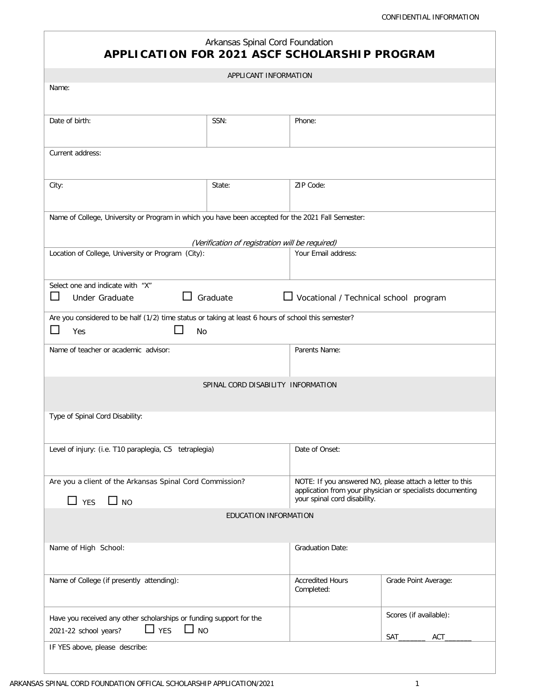| Arkansas Spinal Cord Foundation<br><b>APPLICATION FOR 2021 ASCF SCHOLARSHIP PROGRAM</b>                                 |                                                 |                                              |                                                                                                                                                        |  |
|-------------------------------------------------------------------------------------------------------------------------|-------------------------------------------------|----------------------------------------------|--------------------------------------------------------------------------------------------------------------------------------------------------------|--|
|                                                                                                                         | APPLICANT INFORMATION                           |                                              |                                                                                                                                                        |  |
| Name:                                                                                                                   |                                                 |                                              |                                                                                                                                                        |  |
| Date of birth:                                                                                                          | SSN:                                            | Phone:                                       |                                                                                                                                                        |  |
| Current address:                                                                                                        |                                                 |                                              |                                                                                                                                                        |  |
| City:                                                                                                                   | State:                                          | ZIP Code:                                    |                                                                                                                                                        |  |
| Name of College, University or Program in which you have been accepted for the 2021 Fall Semester:                      | (Verification of registration will be required) |                                              |                                                                                                                                                        |  |
| Location of College, University or Program (City):                                                                      |                                                 | Your Email address:                          |                                                                                                                                                        |  |
| Select one and indicate with "X"<br>$\mathcal{L}_{\mathcal{A}}$<br>Under Graduate                                       | Graduate                                        | $\Box$ Vocational / Technical school program |                                                                                                                                                        |  |
| Are you considered to be half (1/2) time status or taking at least 6 hours of school this semester?<br>Yes<br><b>No</b> |                                                 |                                              |                                                                                                                                                        |  |
| Name of teacher or academic advisor:                                                                                    |                                                 | Parents Name:                                |                                                                                                                                                        |  |
|                                                                                                                         | SPINAL CORD DISABILITY INFORMATION              |                                              |                                                                                                                                                        |  |
| Type of Spinal Cord Disability:                                                                                         |                                                 |                                              |                                                                                                                                                        |  |
| Level of injury: (i.e. T10 paraplegia, C5 tetraplegia)                                                                  |                                                 | Date of Onset:                               |                                                                                                                                                        |  |
| Are you a client of the Arkansas Spinal Cord Commission?<br>$\Box$ YES<br>$\Box$ NO                                     |                                                 |                                              | NOTE: If you answered NO, please attach a letter to this<br>application from your physician or specialists documenting<br>your spinal cord disability. |  |
|                                                                                                                         | EDUCATION INFORMATION                           |                                              |                                                                                                                                                        |  |
| Name of High School:                                                                                                    |                                                 | <b>Graduation Date:</b>                      |                                                                                                                                                        |  |
| Name of College (if presently attending):                                                                               |                                                 | <b>Accredited Hours</b><br>Completed:        | Grade Point Average:                                                                                                                                   |  |
| Have you received any other scholarships or funding support for the<br>$\Box$ YES<br>$\Box$ NO<br>2021-22 school years? |                                                 |                                              | Scores (if available):<br><b>ACT</b><br>SAT                                                                                                            |  |
| IF YES above, please describe:                                                                                          |                                                 |                                              |                                                                                                                                                        |  |